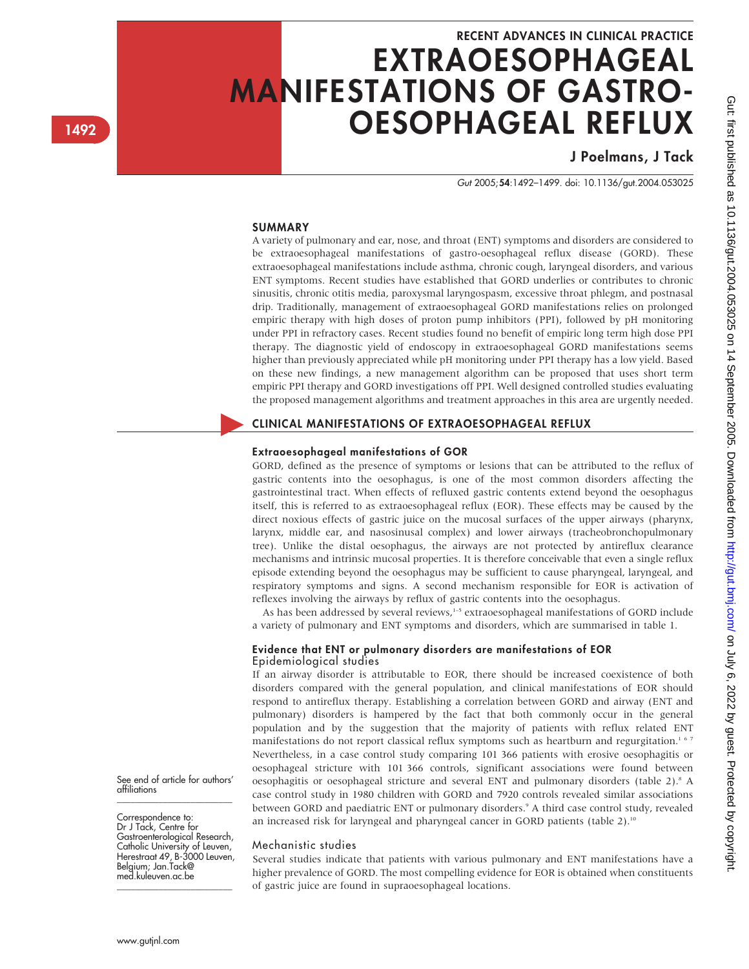# RECENT ADVANCES IN CLINICAL PRACTICE EXTRAOESOPHAGEAL MANIFESTATIONS OF GASTRO-OESOPHAGEAL REFLUX

## J Poelmans, J Tack

Gut 2005;54:1492–1499. doi: 10.1136/gut.2004.053025

#### SUMMARY

A variety of pulmonary and ear, nose, and throat (ENT) symptoms and disorders are considered to be extraoesophageal manifestations of gastro-oesophageal reflux disease (GORD). These extraoesophageal manifestations include asthma, chronic cough, laryngeal disorders, and various ENT symptoms. Recent studies have established that GORD underlies or contributes to chronic sinusitis, chronic otitis media, paroxysmal laryngospasm, excessive throat phlegm, and postnasal drip. Traditionally, management of extraoesophageal GORD manifestations relies on prolonged empiric therapy with high doses of proton pump inhibitors (PPI), followed by pH monitoring under PPI in refractory cases. Recent studies found no benefit of empiric long term high dose PPI therapy. The diagnostic yield of endoscopy in extraoesophageal GORD manifestations seems higher than previously appreciated while pH monitoring under PPI therapy has a low yield. Based on these new findings, a new management algorithm can be proposed that uses short term empiric PPI therapy and GORD investigations off PPI. Well designed controlled studies evaluating the proposed management algorithms and treatment approaches in this area are urgently needed.

### CLINICAL MANIFESTATIONS OF EXTRAOESOPHAGEAL REFLUX

#### Extraoesophageal manifestations of GOR

GORD, defined as the presence of symptoms or lesions that can be attributed to the reflux of gastric contents into the oesophagus, is one of the most common disorders affecting the gastrointestinal tract. When effects of refluxed gastric contents extend beyond the oesophagus itself, this is referred to as extraoesophageal reflux (EOR). These effects may be caused by the direct noxious effects of gastric juice on the mucosal surfaces of the upper airways (pharynx, larynx, middle ear, and nasosinusal complex) and lower airways (tracheobronchopulmonary tree). Unlike the distal oesophagus, the airways are not protected by antireflux clearance mechanisms and intrinsic mucosal properties. It is therefore conceivable that even a single reflux episode extending beyond the oesophagus may be sufficient to cause pharyngeal, laryngeal, and respiratory symptoms and signs. A second mechanism responsible for EOR is activation of reflexes involving the airways by reflux of gastric contents into the oesophagus.

As has been addressed by several reviews,<sup>1-5</sup> extraoesophageal manifestations of GORD include a variety of pulmonary and ENT symptoms and disorders, which are summarised in table 1.

#### Evidence that ENT or pulmonary disorders are manifestations of EOR Epidemiological studies

If an airway disorder is attributable to EOR, there should be increased coexistence of both disorders compared with the general population, and clinical manifestations of EOR should respond to antireflux therapy. Establishing a correlation between GORD and airway (ENT and pulmonary) disorders is hampered by the fact that both commonly occur in the general population and by the suggestion that the majority of patients with reflux related ENT manifestations do not report classical reflux symptoms such as heartburn and regurgitation.<sup>167</sup> Nevertheless, in a case control study comparing 101 366 patients with erosive oesophagitis or oesophageal stricture with 101 366 controls, significant associations were found between oesophagitis or oesophageal stricture and several ENT and pulmonary disorders (table 2).<sup>8</sup> A case control study in 1980 children with GORD and 7920 controls revealed similar associations between GORD and paediatric ENT or pulmonary disorders.<sup>9</sup> A third case control study, revealed an increased risk for laryngeal and pharyngeal cancer in GORD patients (table 2).<sup>10</sup>

#### Mechanistic studies

Several studies indicate that patients with various pulmonary and ENT manifestations have a higher prevalence of GORD. The most compelling evidence for EOR is obtained when constituents of gastric juice are found in supraoesophageal locations.

#### See end of article for authors' affiliations \_\_\_\_\_\_\_\_\_\_\_\_\_\_\_\_\_\_\_\_\_\_\_\_\_

Correspondence to: Dr J Tack, Centre for Gastroenterological Research, Catholic University of Leuven, Herestraat 49, B-3000 Leuven, Belgium; Jan.Tack@ med.kuleuven.ac.be

\_\_\_\_\_\_\_\_\_\_\_\_\_\_\_\_\_\_\_\_\_\_\_\_\_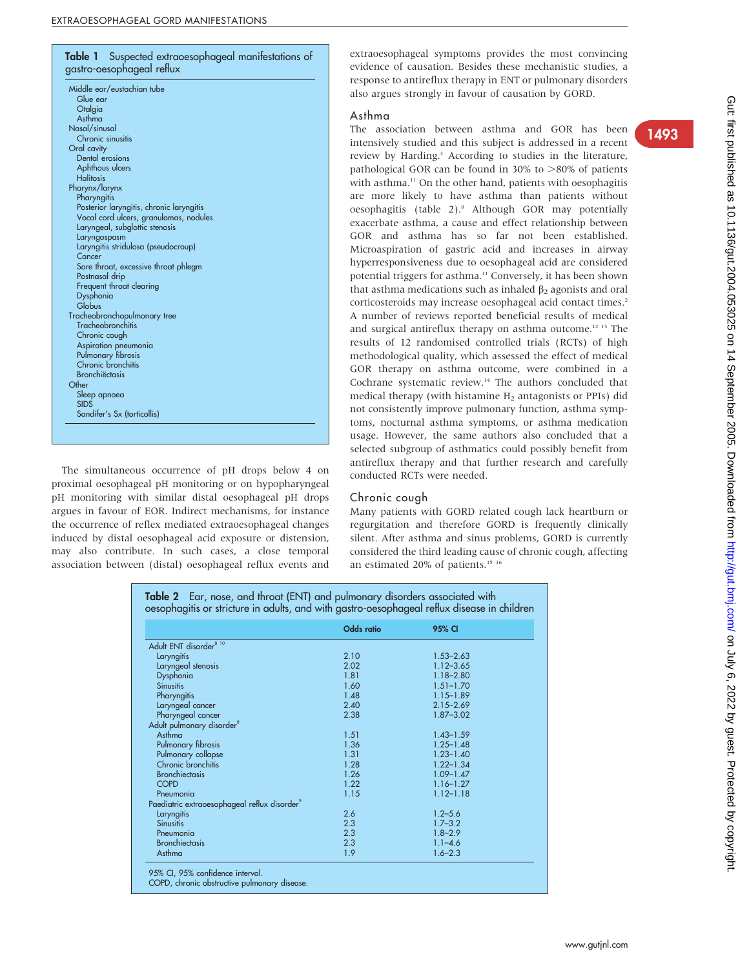## Table 1 Suspected extraoesophageal manifestations of gastro-oesophageal reflux

| Middle ear/eustachian tube               |  |
|------------------------------------------|--|
| Glue ear                                 |  |
| Otalgia                                  |  |
| Asthma                                   |  |
| Nasal/sinusal                            |  |
| Chronic sinusitis                        |  |
| Oral cavity                              |  |
| Dental erosions                          |  |
| Aphthous ulcers                          |  |
| <b>Halitosis</b>                         |  |
| Pharynx/larynx                           |  |
| Pharyngitis                              |  |
| Posterior laryngitis, chronic laryngitis |  |
| Vocal cord ulcers, granulomas, nodules   |  |
| Laryngeal, subglottic stenosis           |  |
| Laryngospasm                             |  |
| Laryngitis stridulosa (pseudocroup)      |  |
| Cancer                                   |  |
| Sore throat, excessive throat phlegm     |  |
| Postnasal drip                           |  |
| Frequent throat clearing                 |  |
| Dysphonia                                |  |
| Globus                                   |  |
| Tracheobronchopulmonary tree             |  |
| Tracheobronchitis                        |  |
| Chronic cough                            |  |
| Aspiration pneumonia                     |  |
| Pulmonary fibrosis                       |  |
| Chronic bronchitis                       |  |
| <b>Bronchiëctasis</b>                    |  |
| Other                                    |  |
| Sleep apnoea                             |  |
| <b>SIDS</b>                              |  |
| Sandifer's Sx (torticollis)              |  |
|                                          |  |

The simultaneous occurrence of pH drops below 4 on proximal oesophageal pH monitoring or on hypopharyngeal pH monitoring with similar distal oesophageal pH drops argues in favour of EOR. Indirect mechanisms, for instance the occurrence of reflex mediated extraoesophageal changes induced by distal oesophageal acid exposure or distension, may also contribute. In such cases, a close temporal association between (distal) oesophageal reflux events and extraoesophageal symptoms provides the most convincing evidence of causation. Besides these mechanistic studies, a response to antireflux therapy in ENT or pulmonary disorders also argues strongly in favour of causation by GORD.

#### Asthma

The association between asthma and GOR has been intensively studied and this subject is addressed in a recent review by Harding.<sup>3</sup> According to studies in the literature, pathological GOR can be found in 30% to  $>80\%$  of patients with asthma.<sup>11</sup> On the other hand, patients with oesophagitis are more likely to have asthma than patients without oesophagitis (table 2).<sup>8</sup> Although GOR may potentially exacerbate asthma, a cause and effect relationship between GOR and asthma has so far not been established. Microaspiration of gastric acid and increases in airway hyperresponsiveness due to oesophageal acid are considered potential triggers for asthma.<sup>11</sup> Conversely, it has been shown that asthma medications such as inhaled  $\beta_2$  agonists and oral corticosteroids may increase oesophageal acid contact times.<sup>2</sup> A number of reviews reported beneficial results of medical and surgical antireflux therapy on asthma outcome.12 13 The results of 12 randomised controlled trials (RCTs) of high methodological quality, which assessed the effect of medical GOR therapy on asthma outcome, were combined in a Cochrane systematic review.14 The authors concluded that medical therapy (with histamine  $H_2$  antagonists or PPIs) did not consistently improve pulmonary function, asthma symptoms, nocturnal asthma symptoms, or asthma medication usage. However, the same authors also concluded that a selected subgroup of asthmatics could possibly benefit from antireflux therapy and that further research and carefully conducted RCTs were needed.

#### Chronic cough

Many patients with GORD related cough lack heartburn or regurgitation and therefore GORD is frequently clinically silent. After asthma and sinus problems, GORD is currently considered the third leading cause of chronic cough, affecting an estimated 20% of patients.<sup>15 16</sup>

|                                                          | <b>Odds</b> ratio | 95% CI        |
|----------------------------------------------------------|-------------------|---------------|
| Adult ENT disorder <sup>8 10</sup>                       |                   |               |
| Laryngitis                                               | 2.10              | $1.53 - 2.63$ |
| Laryngeal stenosis                                       | 2.02              | $1.12 - 3.65$ |
| Dysphonia                                                | 1.81              | $1.18 - 2.80$ |
| <b>Sinusitis</b>                                         | 1.60              | $1.51 - 1.70$ |
| Pharyngitis                                              | 1.48              | $1.15 - 1.89$ |
| Laryngeal cancer                                         | 2.40              | $2.15 - 2.69$ |
| Pharyngeal cancer                                        | 2.38              | $1.87 - 3.02$ |
| Adult pulmonary disorder <sup>8</sup>                    |                   |               |
| Asthma                                                   | 1.51              | $1.43 - 1.59$ |
| Pulmonary fibrosis                                       | 1.36              | $1.25 - 1.48$ |
| Pulmonary collapse                                       | 1.31              | $1.23 - 1.40$ |
| Chronic bronchitis                                       | 1.28              | $1.22 - 1.34$ |
| <b>Bronchiectasis</b>                                    | 1.26              | $1.09 - 1.47$ |
| <b>COPD</b>                                              | 1.22              | $1.16 - 1.27$ |
| Pneumonia                                                | 1.15              | $1.12 - 1.18$ |
| Paediatric extraoesophageal reflux disorder <sup>9</sup> |                   |               |
| Laryngitis                                               | 2.6               | $1.2 - 5.6$   |
| <b>Sinusitis</b>                                         | 2.3               | $1.7 - 3.2$   |
| Pneumonia                                                | 2.3               | $1.8 - 2.9$   |
| <b>Bronchiectasis</b>                                    | 2.3               | $1.1 - 4.6$   |
| Asthma                                                   | 1.9               | $1.6 - 2.3$   |

Table 2 Ear, nose, and throat (ENT) and pulmonary disorders associated with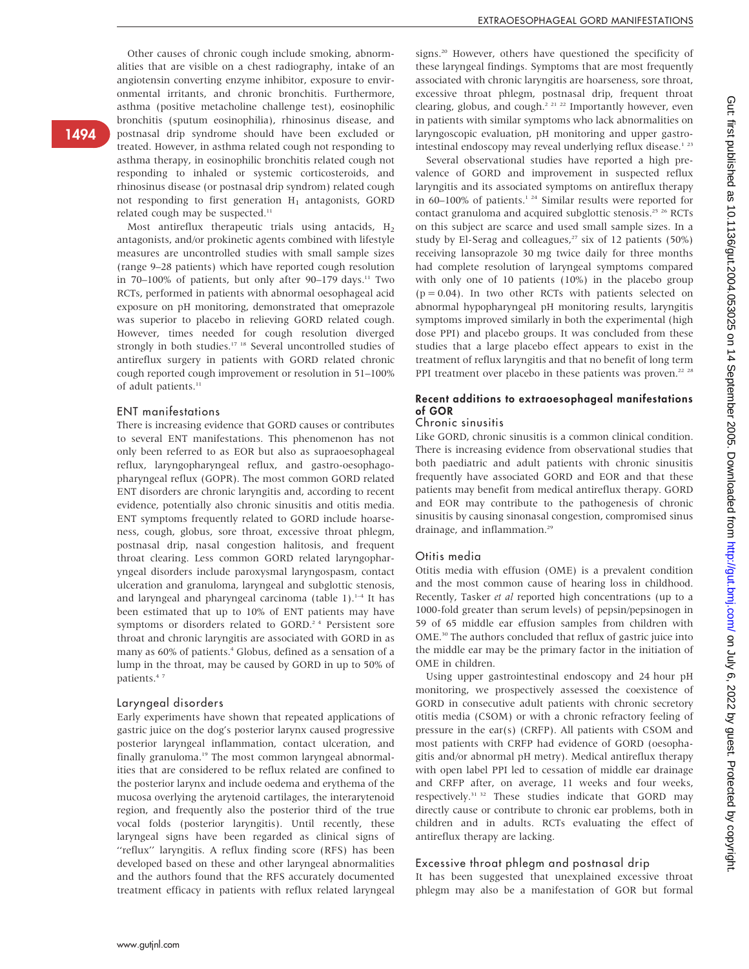Other causes of chronic cough include smoking, abnormalities that are visible on a chest radiography, intake of an angiotensin converting enzyme inhibitor, exposure to environmental irritants, and chronic bronchitis. Furthermore, asthma (positive metacholine challenge test), eosinophilic bronchitis (sputum eosinophilia), rhinosinus disease, and postnasal drip syndrome should have been excluded or treated. However, in asthma related cough not responding to asthma therapy, in eosinophilic bronchitis related cough not responding to inhaled or systemic corticosteroids, and rhinosinus disease (or postnasal drip syndrom) related cough not responding to first generation  $H_1$  antagonists, GORD related cough may be suspected.<sup>11</sup>

Most antireflux therapeutic trials using antacids,  $H_2$ antagonists, and/or prokinetic agents combined with lifestyle measures are uncontrolled studies with small sample sizes (range 9–28 patients) which have reported cough resolution in 70–100% of patients, but only after 90–179 days.<sup>11</sup> Two RCTs, performed in patients with abnormal oesophageal acid exposure on pH monitoring, demonstrated that omeprazole was superior to placebo in relieving GORD related cough. However, times needed for cough resolution diverged strongly in both studies.<sup>17 18</sup> Several uncontrolled studies of antireflux surgery in patients with GORD related chronic cough reported cough improvement or resolution in 51–100% of adult patients. $11$ 

#### ENT manifestations

1494

There is increasing evidence that GORD causes or contributes to several ENT manifestations. This phenomenon has not only been referred to as EOR but also as supraoesophageal reflux, laryngopharyngeal reflux, and gastro-oesophagopharyngeal reflux (GOPR). The most common GORD related ENT disorders are chronic laryngitis and, according to recent evidence, potentially also chronic sinusitis and otitis media. ENT symptoms frequently related to GORD include hoarseness, cough, globus, sore throat, excessive throat phlegm, postnasal drip, nasal congestion halitosis, and frequent throat clearing. Less common GORD related laryngopharyngeal disorders include paroxysmal laryngospasm, contact ulceration and granuloma, laryngeal and subglottic stenosis, and laryngeal and pharyngeal carcinoma (table 1).<sup>1-4</sup> It has been estimated that up to 10% of ENT patients may have symptoms or disorders related to GORD.<sup>24</sup> Persistent sore throat and chronic laryngitis are associated with GORD in as many as 60% of patients.<sup>4</sup> Globus, defined as a sensation of a lump in the throat, may be caused by GORD in up to 50% of patients.<sup>47</sup>

#### Laryngeal disorders

Early experiments have shown that repeated applications of gastric juice on the dog's posterior larynx caused progressive posterior laryngeal inflammation, contact ulceration, and finally granuloma.<sup>19</sup> The most common laryngeal abnormalities that are considered to be reflux related are confined to the posterior larynx and include oedema and erythema of the mucosa overlying the arytenoid cartilages, the interarytenoid region, and frequently also the posterior third of the true vocal folds (posterior laryngitis). Until recently, these laryngeal signs have been regarded as clinical signs of ''reflux'' laryngitis. A reflux finding score (RFS) has been developed based on these and other laryngeal abnormalities and the authors found that the RFS accurately documented treatment efficacy in patients with reflux related laryngeal

signs.20 However, others have questioned the specificity of these laryngeal findings. Symptoms that are most frequently associated with chronic laryngitis are hoarseness, sore throat, excessive throat phlegm, postnasal drip, frequent throat clearing, globus, and cough.<sup>2 21 22</sup> Importantly however, even in patients with similar symptoms who lack abnormalities on laryngoscopic evaluation, pH monitoring and upper gastrointestinal endoscopy may reveal underlying reflux disease.<sup>123</sup>

Several observational studies have reported a high prevalence of GORD and improvement in suspected reflux laryngitis and its associated symptoms on antireflux therapy in 60–100% of patients.<sup>1 24</sup> Similar results were reported for contact granuloma and acquired subglottic stenosis.25 26 RCTs on this subject are scarce and used small sample sizes. In a study by El-Serag and colleagues, $27 \text{ six of } 12 \text{ patients } (50\%)$ receiving lansoprazole 30 mg twice daily for three months had complete resolution of laryngeal symptoms compared with only one of 10 patients (10%) in the placebo group  $(p = 0.04)$ . In two other RCTs with patients selected on abnormal hypopharyngeal pH monitoring results, laryngitis symptoms improved similarly in both the experimental (high dose PPI) and placebo groups. It was concluded from these studies that a large placebo effect appears to exist in the treatment of reflux laryngitis and that no benefit of long term PPI treatment over placebo in these patients was proven.<sup>22 28</sup>

#### Recent additions to extraoesophageal manifestations of GOR

#### Chronic sinusitis

Like GORD, chronic sinusitis is a common clinical condition. There is increasing evidence from observational studies that both paediatric and adult patients with chronic sinusitis frequently have associated GORD and EOR and that these patients may benefit from medical antireflux therapy. GORD and EOR may contribute to the pathogenesis of chronic sinusitis by causing sinonasal congestion, compromised sinus drainage, and inflammation.<sup>29</sup>

#### Otitis media

Otitis media with effusion (OME) is a prevalent condition and the most common cause of hearing loss in childhood. Recently, Tasker et al reported high concentrations (up to a 1000-fold greater than serum levels) of pepsin/pepsinogen in 59 of 65 middle ear effusion samples from children with OME.<sup>30</sup> The authors concluded that reflux of gastric juice into the middle ear may be the primary factor in the initiation of OME in children.

Using upper gastrointestinal endoscopy and 24 hour pH monitoring, we prospectively assessed the coexistence of GORD in consecutive adult patients with chronic secretory otitis media (CSOM) or with a chronic refractory feeling of pressure in the ear(s) (CRFP). All patients with CSOM and most patients with CRFP had evidence of GORD (oesophagitis and/or abnormal pH metry). Medical antireflux therapy with open label PPI led to cessation of middle ear drainage and CRFP after, on average, 11 weeks and four weeks, respectively.31 32 These studies indicate that GORD may directly cause or contribute to chronic ear problems, both in children and in adults. RCTs evaluating the effect of antireflux therapy are lacking.

#### Excessive throat phlegm and postnasal drip

It has been suggested that unexplained excessive throat phlegm may also be a manifestation of GOR but formal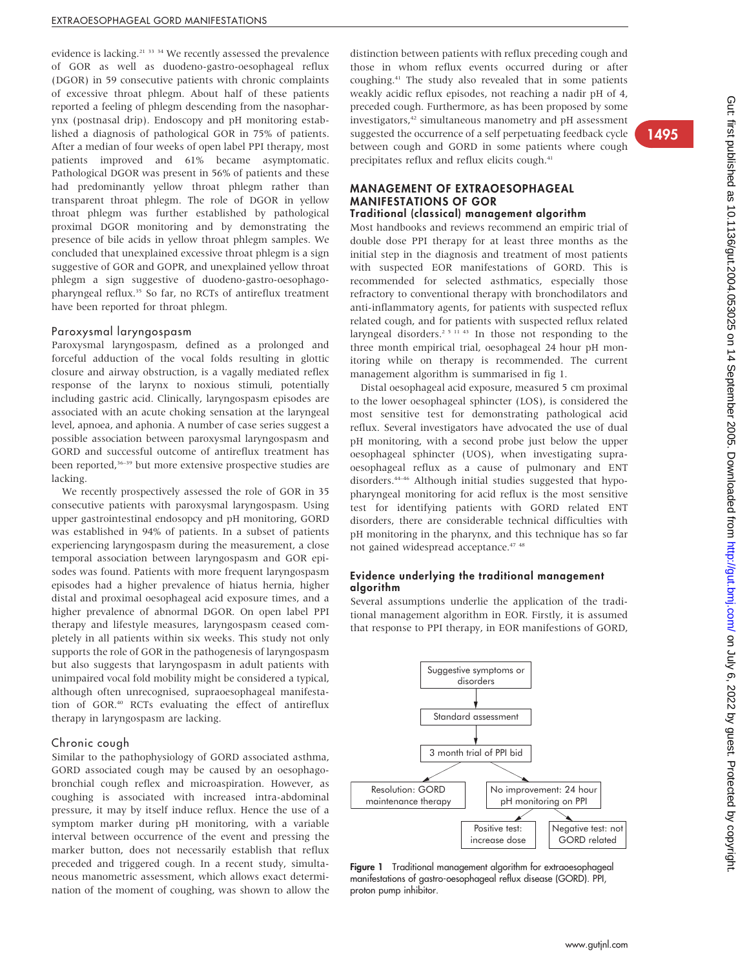evidence is lacking.<sup>21</sup> <sup>33</sup> <sup>34</sup> We recently assessed the prevalence of GOR as well as duodeno-gastro-oesophageal reflux (DGOR) in 59 consecutive patients with chronic complaints of excessive throat phlegm. About half of these patients reported a feeling of phlegm descending from the nasopharynx (postnasal drip). Endoscopy and pH monitoring established a diagnosis of pathological GOR in 75% of patients. After a median of four weeks of open label PPI therapy, most patients improved and 61% became asymptomatic. Pathological DGOR was present in 56% of patients and these had predominantly yellow throat phlegm rather than transparent throat phlegm. The role of DGOR in yellow throat phlegm was further established by pathological proximal DGOR monitoring and by demonstrating the presence of bile acids in yellow throat phlegm samples. We concluded that unexplained excessive throat phlegm is a sign suggestive of GOR and GOPR, and unexplained yellow throat phlegm a sign suggestive of duodeno-gastro-oesophagopharyngeal reflux.35 So far, no RCTs of antireflux treatment have been reported for throat phlegm.

#### Paroxysmal laryngospasm

Paroxysmal laryngospasm, defined as a prolonged and forceful adduction of the vocal folds resulting in glottic closure and airway obstruction, is a vagally mediated reflex response of the larynx to noxious stimuli, potentially including gastric acid. Clinically, laryngospasm episodes are associated with an acute choking sensation at the laryngeal level, apnoea, and aphonia. A number of case series suggest a possible association between paroxysmal laryngospasm and GORD and successful outcome of antireflux treatment has been reported,<sup>36–39</sup> but more extensive prospective studies are lacking.

We recently prospectively assessed the role of GOR in 35 consecutive patients with paroxysmal laryngospasm. Using upper gastrointestinal endosopcy and pH monitoring, GORD was established in 94% of patients. In a subset of patients experiencing laryngospasm during the measurement, a close temporal association between laryngospasm and GOR episodes was found. Patients with more frequent laryngospasm episodes had a higher prevalence of hiatus hernia, higher distal and proximal oesophageal acid exposure times, and a higher prevalence of abnormal DGOR. On open label PPI therapy and lifestyle measures, laryngospasm ceased completely in all patients within six weeks. This study not only supports the role of GOR in the pathogenesis of laryngospasm but also suggests that laryngospasm in adult patients with unimpaired vocal fold mobility might be considered a typical, although often unrecognised, supraoesophageal manifestation of GOR.40 RCTs evaluating the effect of antireflux therapy in laryngospasm are lacking.

#### Chronic cough

Similar to the pathophysiology of GORD associated asthma, GORD associated cough may be caused by an oesophagobronchial cough reflex and microaspiration. However, as coughing is associated with increased intra-abdominal pressure, it may by itself induce reflux. Hence the use of a symptom marker during pH monitoring, with a variable interval between occurrence of the event and pressing the marker button, does not necessarily establish that reflux preceded and triggered cough. In a recent study, simultaneous manometric assessment, which allows exact determination of the moment of coughing, was shown to allow the distinction between patients with reflux preceding cough and those in whom reflux events occurred during or after coughing.41 The study also revealed that in some patients weakly acidic reflux episodes, not reaching a nadir pH of 4, preceded cough. Furthermore, as has been proposed by some investigators,42 simultaneous manometry and pH assessment suggested the occurrence of a self perpetuating feedback cycle between cough and GORD in some patients where cough precipitates reflux and reflux elicits cough.<sup>41</sup>

#### MANAGEMENT OF EXTRAOESOPHAGEAL MANIFESTATIONS OF GOR Traditional (classical) management algorithm

Most handbooks and reviews recommend an empiric trial of double dose PPI therapy for at least three months as the initial step in the diagnosis and treatment of most patients with suspected EOR manifestations of GORD. This is recommended for selected asthmatics, especially those refractory to conventional therapy with bronchodilators and anti-inflammatory agents, for patients with suspected reflux related cough, and for patients with suspected reflux related laryngeal disorders.<sup>2 5 11 43</sup> In those not responding to the three month empirical trial, oesophageal 24 hour pH monitoring while on therapy is recommended. The current management algorithm is summarised in fig 1.

Distal oesophageal acid exposure, measured 5 cm proximal to the lower oesophageal sphincter (LOS), is considered the most sensitive test for demonstrating pathological acid reflux. Several investigators have advocated the use of dual pH monitoring, with a second probe just below the upper oesophageal sphincter (UOS), when investigating supraoesophageal reflux as a cause of pulmonary and ENT disorders.44–46 Although initial studies suggested that hypopharyngeal monitoring for acid reflux is the most sensitive test for identifying patients with GORD related ENT disorders, there are considerable technical difficulties with pH monitoring in the pharynx, and this technique has so far not gained widespread acceptance.<sup>47</sup> <sup>48</sup>

#### Evidence underlying the traditional management algorithm

Several assumptions underlie the application of the traditional management algorithm in EOR. Firstly, it is assumed that response to PPI therapy, in EOR manifestions of GORD,



Figure 1 Traditional management algorithm for extraoesophageal manifestations of gastro-oesophageal reflux disease (GORD). PPI, proton pump inhibitor.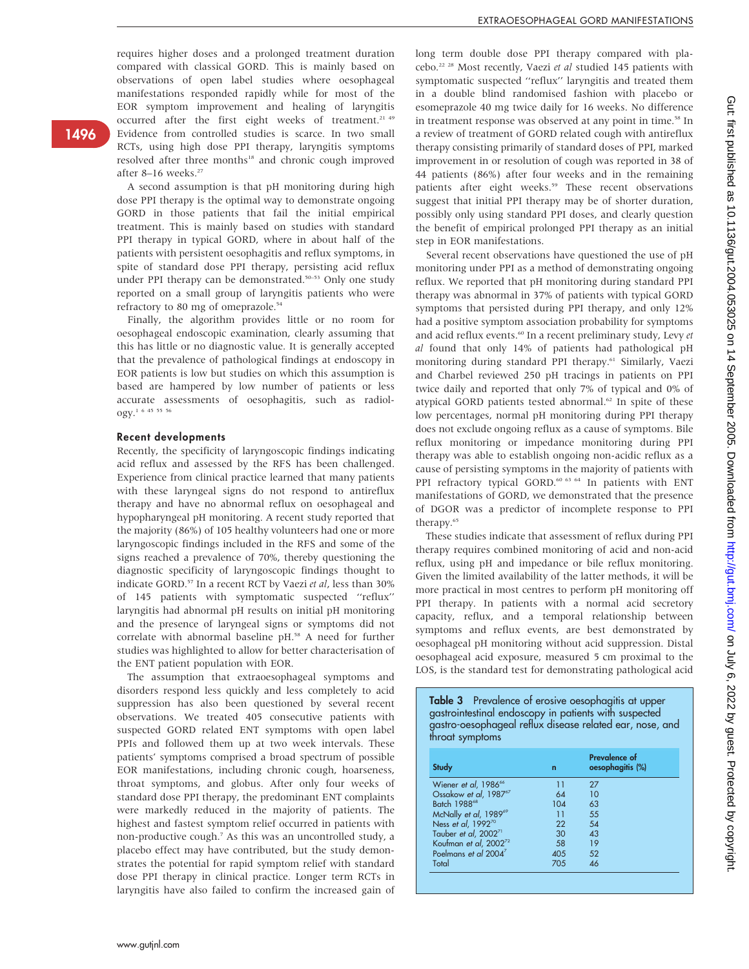requires higher doses and a prolonged treatment duration compared with classical GORD. This is mainly based on observations of open label studies where oesophageal manifestations responded rapidly while for most of the EOR symptom improvement and healing of laryngitis occurred after the first eight weeks of treatment.<sup>21</sup> <sup>49</sup> Evidence from controlled studies is scarce. In two small RCTs, using high dose PPI therapy, laryngitis symptoms resolved after three months<sup>18</sup> and chronic cough improved after 8-16 weeks.<sup>27</sup>

A second assumption is that pH monitoring during high dose PPI therapy is the optimal way to demonstrate ongoing GORD in those patients that fail the initial empirical treatment. This is mainly based on studies with standard PPI therapy in typical GORD, where in about half of the patients with persistent oesophagitis and reflux symptoms, in spite of standard dose PPI therapy, persisting acid reflux under PPI therapy can be demonstrated.<sup>50–53</sup> Only one study reported on a small group of laryngitis patients who were refractory to 80 mg of omeprazole.<sup>54</sup>

Finally, the algorithm provides little or no room for oesophageal endoscopic examination, clearly assuming that this has little or no diagnostic value. It is generally accepted that the prevalence of pathological findings at endoscopy in EOR patients is low but studies on which this assumption is based are hampered by low number of patients or less accurate assessments of oesophagitis, such as radiology.1 6 45 55 56

#### Recent developments

Recently, the specificity of laryngoscopic findings indicating acid reflux and assessed by the RFS has been challenged. Experience from clinical practice learned that many patients with these laryngeal signs do not respond to antireflux therapy and have no abnormal reflux on oesophageal and hypopharyngeal pH monitoring. A recent study reported that the majority (86%) of 105 healthy volunteers had one or more laryngoscopic findings included in the RFS and some of the signs reached a prevalence of 70%, thereby questioning the diagnostic specificity of laryngoscopic findings thought to indicate GORD.<sup>57</sup> In a recent RCT by Vaezi et al, less than 30% of 145 patients with symptomatic suspected ''reflux'' laryngitis had abnormal pH results on initial pH monitoring and the presence of laryngeal signs or symptoms did not correlate with abnormal baseline pH.<sup>58</sup> A need for further studies was highlighted to allow for better characterisation of the ENT patient population with EOR.

The assumption that extraoesophageal symptoms and disorders respond less quickly and less completely to acid suppression has also been questioned by several recent observations. We treated 405 consecutive patients with suspected GORD related ENT symptoms with open label PPIs and followed them up at two week intervals. These patients' symptoms comprised a broad spectrum of possible EOR manifestations, including chronic cough, hoarseness, throat symptoms, and globus. After only four weeks of standard dose PPI therapy, the predominant ENT complaints were markedly reduced in the majority of patients. The highest and fastest symptom relief occurred in patients with non-productive cough.7 As this was an uncontrolled study, a placebo effect may have contributed, but the study demonstrates the potential for rapid symptom relief with standard dose PPI therapy in clinical practice. Longer term RCTs in laryngitis have also failed to confirm the increased gain of long term double dose PPI therapy compared with placebo.<sup>22 28</sup> Most recently, Vaezi et al studied 145 patients with symptomatic suspected ''reflux'' laryngitis and treated them in a double blind randomised fashion with placebo or esomeprazole 40 mg twice daily for 16 weeks. No difference in treatment response was observed at any point in time.<sup>58</sup> In a review of treatment of GORD related cough with antireflux therapy consisting primarily of standard doses of PPI, marked improvement in or resolution of cough was reported in 38 of 44 patients (86%) after four weeks and in the remaining patients after eight weeks.<sup>59</sup> These recent observations suggest that initial PPI therapy may be of shorter duration, possibly only using standard PPI doses, and clearly question the benefit of empirical prolonged PPI therapy as an initial step in EOR manifestations.

Several recent observations have questioned the use of pH monitoring under PPI as a method of demonstrating ongoing reflux. We reported that pH monitoring during standard PPI therapy was abnormal in 37% of patients with typical GORD symptoms that persisted during PPI therapy, and only 12% had a positive symptom association probability for symptoms and acid reflux events.<sup>60</sup> In a recent preliminary study, Levy et al found that only 14% of patients had pathological pH monitoring during standard PPI therapy.<sup>61</sup> Similarly, Vaezi and Charbel reviewed 250 pH tracings in patients on PPI twice daily and reported that only 7% of typical and 0% of atypical GORD patients tested abnormal.<sup>62</sup> In spite of these low percentages, normal pH monitoring during PPI therapy does not exclude ongoing reflux as a cause of symptoms. Bile reflux monitoring or impedance monitoring during PPI therapy was able to establish ongoing non-acidic reflux as a cause of persisting symptoms in the majority of patients with PPI refractory typical GORD.<sup>60 63 64</sup> In patients with ENT manifestations of GORD, we demonstrated that the presence of DGOR was a predictor of incomplete response to PPI therapy.<sup>65</sup>

These studies indicate that assessment of reflux during PPI therapy requires combined monitoring of acid and non-acid reflux, using pH and impedance or bile reflux monitoring. Given the limited availability of the latter methods, it will be more practical in most centres to perform pH monitoring off PPI therapy. In patients with a normal acid secretory capacity, reflux, and a temporal relationship between symptoms and reflux events, are best demonstrated by oesophageal pH monitoring without acid suppression. Distal oesophageal acid exposure, measured 5 cm proximal to the LOS, is the standard test for demonstrating pathological acid

Table 3 Prevalence of erosive oesophagitis at upper gastrointestinal endoscopy in patients with suspected gastro-oesophageal reflux disease related ear, nose, and throat symptoms

| Study                             | n   | Prevalence of<br>oesophagitis (%) |
|-----------------------------------|-----|-----------------------------------|
| Wiener et al, 1986 <sup>66</sup>  |     | 27                                |
| Ossakow et al, 1987 <sup>67</sup> | 64  | 10                                |
| Batch 1988 <sup>68</sup>          | 104 | 63                                |
| McNally et al, 1989 <sup>69</sup> | 11  | 55                                |
| Ness et al. 1992 <sup>70</sup>    | 22  | 54                                |
| Tauber et al, 2002 <sup>71</sup>  | 30  | 43                                |
| Koufman et al, 2002 <sup>72</sup> | 58  | 19                                |
| Poelmans et al $2004^7$           | 405 | 52                                |
| Total                             | 705 | Δ6                                |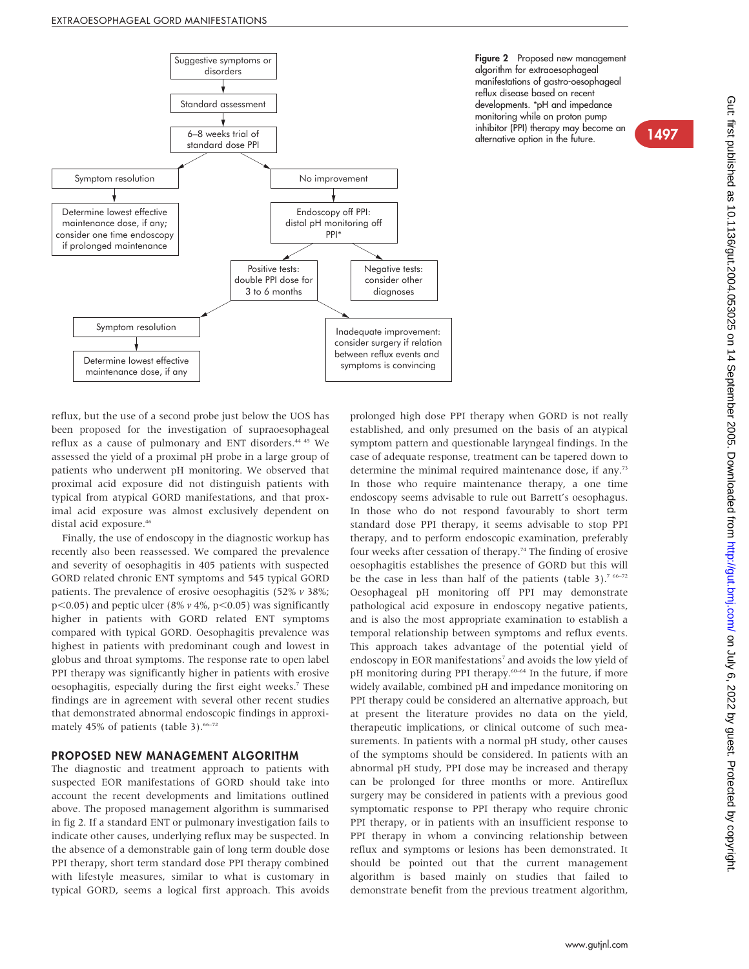

Figure 2 Proposed new management algorithm for extraoesophageal manifestations of gastro-oesophageal reflux disease based on recent developments. \*pH and impedance monitoring while on proton pump inhibitor (PPI) therapy may become an Inhibitor (PPI) therapy may become an alternative option in the future.

reflux, but the use of a second probe just below the UOS has been proposed for the investigation of supraoesophageal reflux as a cause of pulmonary and ENT disorders.<sup>44 45</sup> We assessed the yield of a proximal pH probe in a large group of patients who underwent pH monitoring. We observed that proximal acid exposure did not distinguish patients with typical from atypical GORD manifestations, and that proximal acid exposure was almost exclusively dependent on distal acid exposure.<sup>46</sup>

Finally, the use of endoscopy in the diagnostic workup has recently also been reassessed. We compared the prevalence and severity of oesophagitis in 405 patients with suspected GORD related chronic ENT symptoms and 545 typical GORD patients. The prevalence of erosive oesophagitis (52% v 38%;  $p$ <0.05) and peptic ulcer (8%  $\nu$  4%,  $p$ <0.05) was significantly higher in patients with GORD related ENT symptoms compared with typical GORD. Oesophagitis prevalence was highest in patients with predominant cough and lowest in globus and throat symptoms. The response rate to open label PPI therapy was significantly higher in patients with erosive oesophagitis, especially during the first eight weeks.<sup>7</sup> These findings are in agreement with several other recent studies that demonstrated abnormal endoscopic findings in approximately 45% of patients (table 3). $66-72$ 

#### PROPOSED NEW MANAGEMENT ALGORITHM

The diagnostic and treatment approach to patients with suspected EOR manifestations of GORD should take into account the recent developments and limitations outlined above. The proposed management algorithm is summarised in fig 2. If a standard ENT or pulmonary investigation fails to indicate other causes, underlying reflux may be suspected. In the absence of a demonstrable gain of long term double dose PPI therapy, short term standard dose PPI therapy combined with lifestyle measures, similar to what is customary in typical GORD, seems a logical first approach. This avoids prolonged high dose PPI therapy when GORD is not really established, and only presumed on the basis of an atypical symptom pattern and questionable laryngeal findings. In the case of adequate response, treatment can be tapered down to determine the minimal required maintenance dose, if any.73 In those who require maintenance therapy, a one time endoscopy seems advisable to rule out Barrett's oesophagus. In those who do not respond favourably to short term standard dose PPI therapy, it seems advisable to stop PPI therapy, and to perform endoscopic examination, preferably four weeks after cessation of therapy.<sup>74</sup> The finding of erosive oesophagitis establishes the presence of GORD but this will be the case in less than half of the patients (table  $3$ ).<sup>7 66–72</sup> Oesophageal pH monitoring off PPI may demonstrate pathological acid exposure in endoscopy negative patients, and is also the most appropriate examination to establish a temporal relationship between symptoms and reflux events. This approach takes advantage of the potential yield of endoscopy in EOR manifestations<sup>7</sup> and avoids the low yield of pH monitoring during PPI therapy.<sup>60–64</sup> In the future, if more widely available, combined pH and impedance monitoring on PPI therapy could be considered an alternative approach, but at present the literature provides no data on the yield, therapeutic implications, or clinical outcome of such measurements. In patients with a normal pH study, other causes of the symptoms should be considered. In patients with an abnormal pH study, PPI dose may be increased and therapy can be prolonged for three months or more. Antireflux surgery may be considered in patients with a previous good symptomatic response to PPI therapy who require chronic PPI therapy, or in patients with an insufficient response to PPI therapy in whom a convincing relationship between reflux and symptoms or lesions has been demonstrated. It should be pointed out that the current management algorithm is based mainly on studies that failed to demonstrate benefit from the previous treatment algorithm,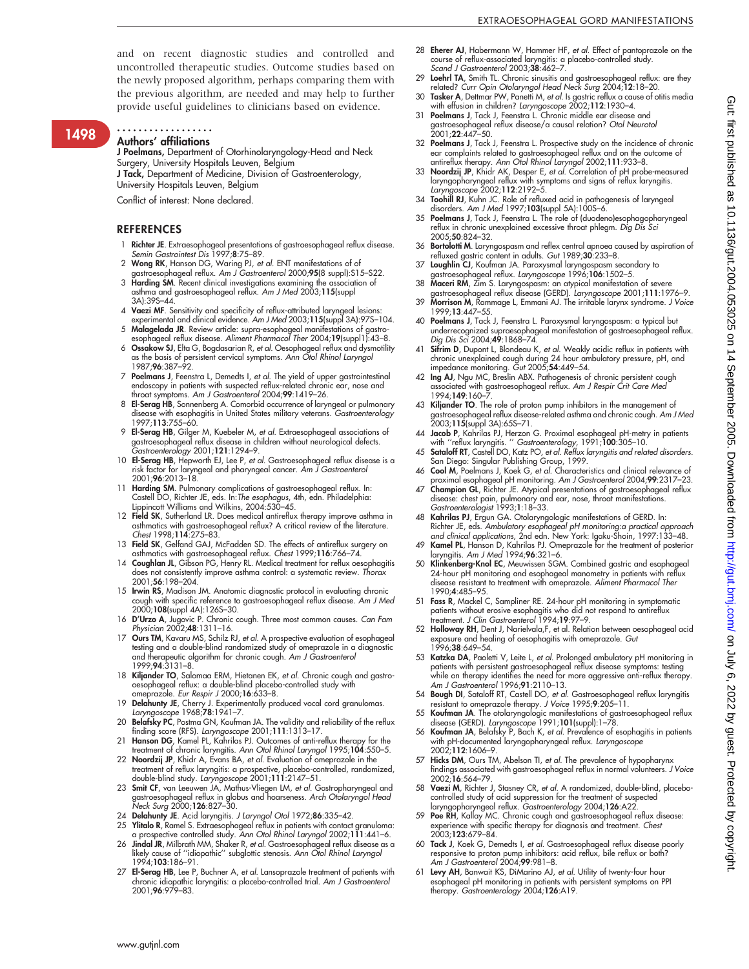and on recent diagnostic studies and controlled and uncontrolled therapeutic studies. Outcome studies based on the newly proposed algorithm, perhaps comparing them with the previous algorithm, are needed and may help to further provide useful guidelines to clinicians based on evidence.

1498

#### Authors' affiliations ..................

J Poelmans, Department of Otorhinolaryngology-Head and Neck Surgery, University Hospitals Leuven, Belgium J Tack, Department of Medicine, Division of Gastroenterology,

University Hospitals Leuven, Belgium

Conflict of interest: None declared.

#### **REFERENCES**

- 1 Richter JE. Extraesophageal presentations of gastroesophageal reflux disease. Semin Gastrointest Dis 1997;8:75–89.
- Wong RK, Hanson DG, Waring PJ, et al. ENT manifestations of of
- gastroesophageal reflux. Am J Gastroenterol 2000;**95(**8 suppl):S15–S22.<br>3 **Harding SM**. Recent clinical investigations examining the association of<br>6 asthma and gastroesophageal reflux. Am J Med 2003;11**5**(suppl
- 3A):39S–44.
- 4 Vaezi MF. Sensitivity and specificity of reflux-attributed laryngeal lesions: experimental and clinical evidence. Am J Med 2003;115(suppl 3A):97S–104. 5 Malagelada JR. Review article: supra-esophageal manifestations of gastro-
- esophageal reflux disease. Aliment Pharmacol Ther 2004;19(suppl1):43-8. 6 Ossakow SJ, Elta G, Bogdasarian R, et al. Oesophageal reflux and dysmotility as the basis of persistent cervical symptoms. Ann Otol Rhinol Laryngol
- 1987;96:387–92. 7 Poelmans J, Feenstra L, Demedts I, et al. The yield of upper gastrointestinal endoscopy in patients with suspected reflux-related chronic ear, nose and throat symptoms. Am J Gastroenterol 2004;99:1419–26.
- 8 El-Serag HB, Sonnenberg A. Comorbid occurrence of laryngeal or pulmonary disease with esophagitis in United States military veterans. Gastroenterology 1997;113:755–60.
- 9 El-Serag HB, Gilger M, Kuebeler M, et al. Extraesophageal associations of gastroesophageal reflux disease in children without neurological defects. Gastroenterology 2001;121:1294–9.
- 10 El-Serag HB, Hepworth EJ, Lee P, et al. Gastroesophageal reflux disease is a risk factor for laryngeal and pharyngeal cancer. Am J Gastroenterol 2001;96:2013–18.
- 11 Harding SM. Pulmonary complications of gastroesophageal reflux. In: Castell DO, Richter JE, eds. In:The esophagus, 4th, edn. Philadelphia: Lippincott Williams and Wilkins, 2004:530–45.
- 12 Field SK, Sutherland LR. Does medical antireflux therapy improve asthma in asthmatics with gastroesophageal reflux? A critical review of the literature. Chest 1998;114:275–83.
- 13 Field SK, Gelfand GAJ, McFadden SD. The effects of antireflux surgery on
- asthmatics with gastroesophageal reflux. Chest 1999;116:766–74. 14 Coughlan JL, Gibson PG, Henry RL. Medical treatment for reflux oesophagitis does not consistently improve asthma control: a systematic review. Thorax 2001;56:198–204.
- 15 Irwin RS, Madison JM. Anatomic diagnostic protocol in evaluating chronic cough with specific reference to gastroesophageal reflux disease. Am J Med 2000;108(suppl 4A):126S–30.
- 16 D'Urzo A, Jugovic P. Chronic cough. Three most common causes. Can Fam Physician 2002;48:1311–16.
- 17 Ours TM, Kavaru MS, Schilz RJ, et al. A prospective evaluation of esophageal testing and a double-blind randomized study of omeprazole in a diagnostic and therapeutic algorithm for chronic cough. Am J Gastroenterol 1999;94:3131–8.
- 18 Kiljander TO, Salomaa ERM, Hietanen EK, et al. Chronic cough and gastro-oesophageal reflux: a double-blind placebo-controlled study with omeprazole. Eur Respir J 2000;16:633–8.
- 19 Delahunty JE, Cherry J. Experimentally produced vocal cord granulomas. Laryngoscope 1968;78:1941–7.
- 20 Belafsky PC, Postma GN, Koufman JA. The validity and reliability of the reflux finding score (RFS). Laryngoscope 2001;111:1313–17.
- 21 **Hanson DG**, Kamel PL, Kahrilas PJ. Outcomes of anti-reflux therapy for the<br>treatment of chronic laryngitis. Ann Otol Rhinol Laryngol 1995;**104**:550–5.<br>22 **Noordzij JP**, Khidr A, Evans BA, *et al.* Evaluation of omepraz
- treatment of reflux laryngitis: a prospective, placebo-controlled, randomized, double-blind study. Laryngoscope 2001;111:2147–51.
- 23 Smit CF, van Leeuwen JA, Mathus-Vliegen LM, et al. Gastropharyngeal and gastroesophageal reflux in globus and hoarseness. Arch Otolaryngol Head Neck Surg 2000;126:827–30.
- 24 Delahunty JE. Acid laryngitis. J Laryngol Otol 1972;86:335–42.
- 25 **Ylitalo R**, Ramel S. Extraesophageal reflux in patients with contact granuloma:<br>26 **Jindel JR,** Milloch, Milloch, Ann *Ohal Rhinol Laryngol 2002;*111:441–6.<br>36 **Jindel JR**, Milbrath MM, Shaker R, *et al.* Gastroesophag
- 1994;103:186–91.
- 27 El-Serag HB, Lee P, Buchner A, et al. Lansoprazole treatment of patients with chronic idiopathic laryngitis: a placebo-controlled trial. Am J Gastroenterol 2001;96:979–83.
- 28 Eherer AJ, Habermann W, Hammer HF, et al. Effect of pantoprazole on the course of reflux-associated laryngitis: a placebo-controlled study.<br>*Scand J Gastroenterol* 2003;**38**:462–7.
- 29 Loehrl TA, Smith TL. Chronic sinusitis and gastroesophageal reflux: are they related? Curr Opin Otolaryngol Head Neck Surg 2004;12:18–20. 30 Tasker A, Dettmar PW, Panetti M, et al. Is gastric reflux a cause of otitis media
- with effusion in children? *Laryngoscope* 2002;**112**:1930–4.<br>31 **Poelmans J**, Tack J, Feenstra L. Chronic middle ear disease and
- gastroesophageal reflux disease/a causal relation? *Otol Neurotol*<br>2001;**22**:447–50. 32 **Poelmans J**, Tack J, Feenstra L. Prospective study on the incidence of chronic<br>ear complaints related to gastroesophageal reflux and on the outcome of<br>antireflux therapy. Ann Otol Rhinol Laryngol 2002;111:933–8.<br>**Noord**
- laryngopharyngeal reflux with symptoms and signs of reflux laryngitis.<br>*Laryngoscope* 2002;11**2**:2192–5.
- 34 Toohill RJ, Kuhn JC. Role of refluxed acid in pathogenesis of laryngeal disorders. Am J Med 1997;103(suppl 5A):100S–6.
- 35 Poelmans J, Tack J, Feenstra L. The role of (duodeno)esophagopharyngeal reflux in chronic unexplained excessive throat phlegm. Dig Dis Sci 2005;50:824–32.
- 36 Bortolotti M. Laryngospasm and reflex central apnoea caused by aspiration of refluxed gastric content in adults. Gut 1989;30:233–8.
- Loughlin CJ, Koufman JA. Paroxysmal laryngospasm secondary to gastroesophageal reflux. Laryngoscope 1996;106:1502-5.
- 38 Maceri RM, Zim S. Laryngospasm: an atypical manifestation of severe gastroesophageal reflux disease (GERD). *Laryngoscope* 2001;111:1976–9.<br>39 M**orrison M**, Rammage L, Emmani AJ. The irritable larynx syndrome. *J Voice*
- 1999;13:447–55.
- 40 Poelmans J, Tack J, Feenstra L. Paroxysmal laryngospasm: a typical but underrecognized supraesophageal manifestation of gastroesophageal reflux. Dig Dis Sci 2004;49:1868–74.
- 41 Sifrim D, Dupont L, Blondeau K, et al. Weakly acidic reflux in patients with chronic unexplained cough during 24 hour ambulatory pressure, pH, and impedance monitoring. Gut 2005;54:449–54.
- 42 Ing AJ, Ngu MC, Breslin ABX. Pathogenesis of chronic persistent cough associated with gastroesophageal reflux. Am J Respir Crit Care Med 1994;149:160–7.
- 43 Kiljander TO. The role of proton pump inhibitors in the management of gastroesophageal reflux disease-related asthma and chronic cough. Am J Med gasiroesophagean.ch.c. .......<br>2003;**115(**suppl 3A):65S–71.
- 44 Jacob P, Kahrilas PJ, Herzon G. Proximal esophageal pH-metry in patients with ''reflux laryngitis. '' Gastroenterology, 1991;100:305–10. 45 Sataloff RT, Castell DO, Katz PO, et al. Reflux laryngitis and related disorders.
- San Diego: Singular Publishing Group, 1999.<br>46 **Cool M**, Poelmans J, Koek G, *et al.* Characteristics and clinical relevance of
- proximal esophageal pH monitoring. Am J Gastroenterol 2004;99:2317–23.
- 47 Champion GL, Richter JE. Atypical presentations of gastroesophageal reflux disease: chest pain, pulmonary and ear, nose, throat manifestations. Gastroenterologist 1993;1:18–33.
- 48 Kahrilas PJ, Ergun GA. Otolaryngologic manifestations of GERD. In: Richter JE, eds. Ambulatory esophageal pH monitoring:a practical approach and clinical applications, 2nd edn. New York: Igaku-Shoin, 1997:133–48.
- Kamel PL, Hanson D, Kahrilas PJ. Omeprazole for the treatment of posterior aryngitis. Am J Med 1994;96:321-6.
- 50 Klinkenberg-Knol EC, Meuwissen SGM. Combined gastric and esophageal 24-hour pH monitoring and esophageal manometry in patients with reflux disease resistant to treatment with omeprazole. Aliment Pharmacol Ther 1990;4:485–95.
- 51 Fass R, Mackel C, Sampliner RE. 24-hour pH monitoring in symptomatic patients without erosive esophagitis who did not respond to antireflux treatment. J Clin Gastroenterol 1994;19:97–9.
- 52 Holloway RH, Dent J, Narielvala,F, et al. Relation between oesophageal acid exposure and healing of oesophagitis with omeprazole. Gut 1996;38:649–54.
- 53 Katzka DA, Paoletti V, Leite L, et al. Prolonged ambulatory pH monitoring in patients with persistent gastroesophageal reflux disease symptoms: testing while on therapy identifies the need for more aggressive anti-reflux therapy. Am J Gastroenterol 1996;91:2110–13.
- 54 Bough DI, Sataloff RT, Castell DO, et al. Gastroesophageal reflux laryngitis resistant to omeprazole therapy. J Voice 1995;9:205-11.
- 55 **Koufman JA**. The otolaryngologic manifestations of gastroesophageal reflux<br>disease (GERD). *Laryngoscope* 1991;**101**(suppl):1–78.<br>56 **Koufman JA**, Belafsky P, Bach K, *et al.* Prevalence of esophagitis in patients
- with pH-documented laryngopharyngeal reflux. Laryngoscope 2002;112:1606–9.
- 57 Hicks DM, Ours TM, Abelson TI, et al. The prevalence of hypopharynx findings associated with gastroesophageal reflux in normal volunteers. J Voice 2002;16:564–79.
- Vaezi M, Richter J, Stasney CR, et al. A randomized, double-blind, placebocontrolled study of acid suppression for the treatment of suspected laryngopharyngeal reflux. Gastroenterology 2004;126:A22.
- 59 Poe RH, Kallay MC. Chronic cough and gastroesophageal reflux disease: experience with specific therapy for diagnosis and treatment. Chest 2003;123:679–84.
- 60 **Tack J**, Koek G, Demedts I, *et al.* Gastroesophageal reflux disease poorly<br>responsive to proton pump inhibitors: acid reflux, bile reflux or both?<br>Am J Gastroenterol 2004;**99**:981–8.
- 61 Levy AH, Banwait KS, DiMarino AJ, et al. Utility of twenty-four hour esophageal pH monitoring in patients with persistent symptoms on PPI therapy. Gastroenterology 2004;126:A19